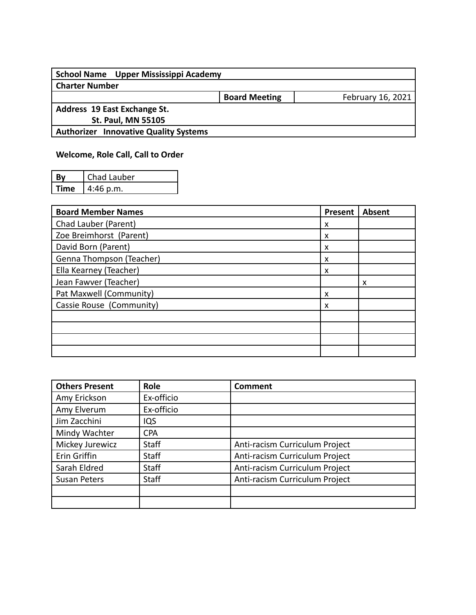| School Name Upper Mississippi Academy        |                      |                   |
|----------------------------------------------|----------------------|-------------------|
| <b>Charter Number</b>                        |                      |                   |
|                                              | <b>Board Meeting</b> | February 16, 2021 |
| Address 19 East Exchange St.                 |                      |                   |
| <b>St. Paul, MN 55105</b>                    |                      |                   |
| <b>Authorizer Innovative Quality Systems</b> |                      |                   |
|                                              |                      |                   |

## **Welcome, Role Call, Call to Order**

| Bv   | Chad Lauber |
|------|-------------|
| Time | $4:46$ p.m. |

| <b>Board Member Names</b> | Present | <b>Absent</b> |
|---------------------------|---------|---------------|
| Chad Lauber (Parent)      | x       |               |
| Zoe Breimhorst (Parent)   | X       |               |
| David Born (Parent)       | X       |               |
| Genna Thompson (Teacher)  | X       |               |
| Ella Kearney (Teacher)    | X       |               |
| Jean Fawver (Teacher)     |         | x             |
| Pat Maxwell (Community)   | x       |               |
| Cassie Rouse (Community)  | X       |               |
|                           |         |               |
|                           |         |               |
|                           |         |               |
|                           |         |               |

| <b>Others Present</b> | Role         | <b>Comment</b>                 |
|-----------------------|--------------|--------------------------------|
| Amy Erickson          | Ex-officio   |                                |
| Amy Elverum           | Ex-officio   |                                |
| Jim Zacchini          | IQS          |                                |
| Mindy Wachter         | <b>CPA</b>   |                                |
| Mickey Jurewicz       | <b>Staff</b> | Anti-racism Curriculum Project |
| Erin Griffin          | <b>Staff</b> | Anti-racism Curriculum Project |
| Sarah Eldred          | <b>Staff</b> | Anti-racism Curriculum Project |
| <b>Susan Peters</b>   | <b>Staff</b> | Anti-racism Curriculum Project |
|                       |              |                                |
|                       |              |                                |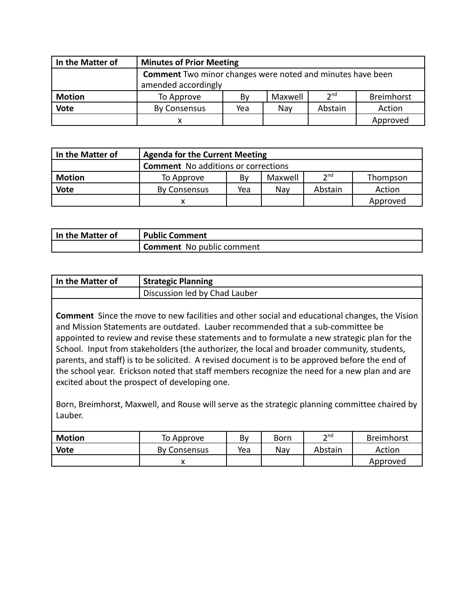| In the Matter of | <b>Minutes of Prior Meeting</b>                                   |                     |         |                 |            |  |
|------------------|-------------------------------------------------------------------|---------------------|---------|-----------------|------------|--|
|                  | <b>Comment</b> Two minor changes were noted and minutes have been |                     |         |                 |            |  |
|                  |                                                                   | amended accordingly |         |                 |            |  |
| <b>Motion</b>    | To Approve                                                        | By                  | Maxwell | 2 <sup>nd</sup> | Breimhorst |  |
| <b>Vote</b>      | By Consensus                                                      | Yea                 | Nav     | Abstain         | Action     |  |
|                  |                                                                   |                     |         |                 | Approved   |  |

| In the Matter of | <b>Agenda for the Current Meeting</b>                      |  |  |  |          |  |  |
|------------------|------------------------------------------------------------|--|--|--|----------|--|--|
|                  | <b>Comment</b> No additions or corrections                 |  |  |  |          |  |  |
| <b>Motion</b>    | 2 <sub>nd</sub><br>Maxwell<br>Thompson<br>Bv<br>To Approve |  |  |  |          |  |  |
| <b>Vote</b>      | Abstain<br>Action<br><b>By Consensus</b><br>Yea<br>Nav     |  |  |  |          |  |  |
|                  | x                                                          |  |  |  | Approved |  |  |

| In the Matter of | <b>Public Comment</b>            |
|------------------|----------------------------------|
|                  | <b>Comment</b> No public comment |

| In the Matter of | <b>Strategic Planning</b>     |
|------------------|-------------------------------|
|                  | Discussion led by Chad Lauber |

**Comment** Since the move to new facilities and other social and educational changes, the Vision and Mission Statements are outdated. Lauber recommended that a sub-committee be appointed to review and revise these statements and to formulate a new strategic plan for the School. Input from stakeholders (the authorizer, the local and broader community, students, parents, and staff) is to be solicited. A revised document is to be approved before the end of the school year. Erickson noted that staff members recognize the need for a new plan and are excited about the prospect of developing one.

Born, Breimhorst, Maxwell, and Rouse will serve as the strategic planning committee chaired by Lauber.

| <b>Motion</b> | To Approve          | Bv  | Born | $\mathsf{h}$ nd | <b>Breimhorst</b> |
|---------------|---------------------|-----|------|-----------------|-------------------|
| <b>Vote</b>   | <b>By Consensus</b> | Yea | Nav  | Abstain         | Action            |
|               |                     |     |      |                 | Approved          |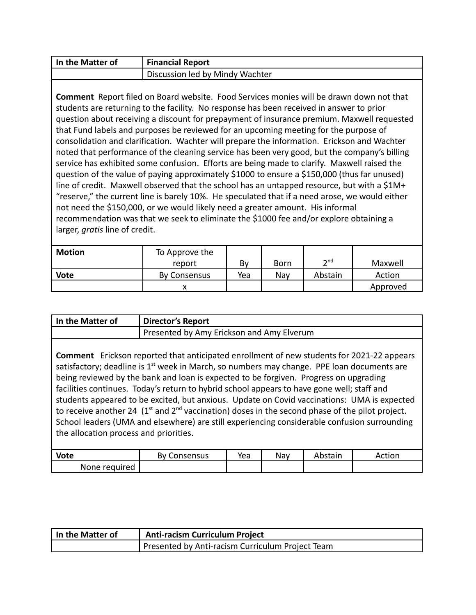| In the Matter of | <b>Financial Report</b>         |
|------------------|---------------------------------|
|                  | Discussion led by Mindy Wachter |

**Comment** Report filed on Board website. Food Services monies will be drawn down not that students are returning to the facility. No response has been received in answer to prior question about receiving a discount for prepayment of insurance premium. Maxwell requested that Fund labels and purposes be reviewed for an upcoming meeting for the purpose of consolidation and clarification. Wachter will prepare the information. Erickson and Wachter noted that performance of the cleaning service has been very good, but the company's billing service has exhibited some confusion. Efforts are being made to clarify. Maxwell raised the question of the value of paying approximately \$1000 to ensure a \$150,000 (thus far unused) line of credit. Maxwell observed that the school has an untapped resource, but with a \$1M+ "reserve," the current line is barely 10%. He speculated that if a need arose, we would either not need the \$150,000, or we would likely need a greater amount. His informal recommendation was that we seek to eliminate the \$1000 fee and/or explore obtaining a larger, *gratis* line of credit.

| Motion | To Approve the |     |             |         |          |
|--------|----------------|-----|-------------|---------|----------|
|        | report         | Bv  | <b>Born</b> | ond∽    | Maxwell  |
| Vote   | By Consensus   | Yea | Nav         | Abstain | Action   |
|        |                |     |             |         | Approved |

| In the Matter of                                                                                                                                                                                                                                                                                                                                                                                                                                                                                                                                                                                                                                                                                                                                  | <b>Director's Report</b>                  |     |     |         |        |  |
|---------------------------------------------------------------------------------------------------------------------------------------------------------------------------------------------------------------------------------------------------------------------------------------------------------------------------------------------------------------------------------------------------------------------------------------------------------------------------------------------------------------------------------------------------------------------------------------------------------------------------------------------------------------------------------------------------------------------------------------------------|-------------------------------------------|-----|-----|---------|--------|--|
|                                                                                                                                                                                                                                                                                                                                                                                                                                                                                                                                                                                                                                                                                                                                                   | Presented by Amy Erickson and Amy Elverum |     |     |         |        |  |
| <b>Comment</b> Erickson reported that anticipated enrollment of new students for 2021-22 appears<br>satisfactory; deadline is 1 <sup>st</sup> week in March, so numbers may change. PPE loan documents are<br>being reviewed by the bank and loan is expected to be forgiven. Progress on upgrading<br>facilities continues. Today's return to hybrid school appears to have gone well; staff and<br>students appeared to be excited, but anxious. Update on Covid vaccinations: UMA is expected<br>to receive another 24 $(1st$ and $2nd$ vaccination) doses in the second phase of the pilot project.<br>School leaders (UMA and elsewhere) are still experiencing considerable confusion surrounding<br>the allocation process and priorities. |                                           |     |     |         |        |  |
| <b>Vote</b>                                                                                                                                                                                                                                                                                                                                                                                                                                                                                                                                                                                                                                                                                                                                       | <b>By Consensus</b>                       | Yea | Nay | Abstain | Action |  |
| None required                                                                                                                                                                                                                                                                                                                                                                                                                                                                                                                                                                                                                                                                                                                                     |                                           |     |     |         |        |  |

| In the Matter of | <b>Anti-racism Curriculum Project</b>            |
|------------------|--------------------------------------------------|
|                  | Presented by Anti-racism Curriculum Project Team |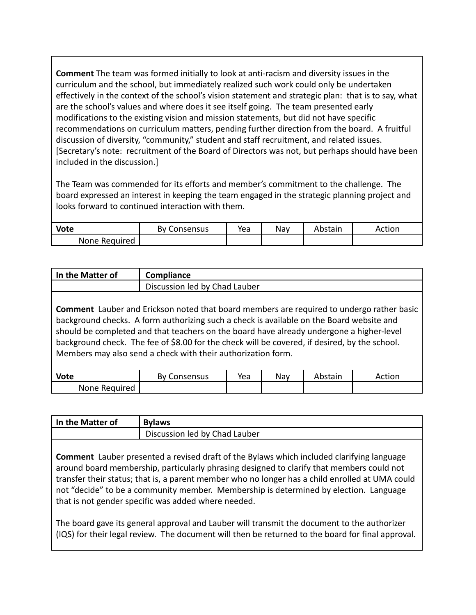**Comment** The team was formed initially to look at anti-racism and diversity issues in the curriculum and the school, but immediately realized such work could only be undertaken effectively in the context of the school's vision statement and strategic plan: that is to say, what are the school's values and where does it see itself going. The team presented early modifications to the existing vision and mission statements, but did not have specific recommendations on curriculum matters, pending further direction from the board. A fruitful discussion of diversity, "community," student and staff recruitment, and related issues. [Secretary's note: recruitment of the Board of Directors was not, but perhaps should have been included in the discussion.]

The Team was commended for its efforts and member's commitment to the challenge. The board expressed an interest in keeping the team engaged in the strategic planning project and looks forward to continued interaction with them.

| Vote          | <b>By Consensus</b> | Yea | Nay | Abstain | Action |
|---------------|---------------------|-----|-----|---------|--------|
| None Required |                     |     |     |         |        |

| In the Matter of | Compliance                                                                                                                                                                                                                                                                                                                                                                                                                                                |     |     |         |        |
|------------------|-----------------------------------------------------------------------------------------------------------------------------------------------------------------------------------------------------------------------------------------------------------------------------------------------------------------------------------------------------------------------------------------------------------------------------------------------------------|-----|-----|---------|--------|
|                  | Discussion led by Chad Lauber                                                                                                                                                                                                                                                                                                                                                                                                                             |     |     |         |        |
|                  | <b>Comment</b> Lauber and Erickson noted that board members are required to undergo rather basic<br>background checks. A form authorizing such a check is available on the Board website and<br>should be completed and that teachers on the board have already undergone a higher-level<br>background check. The fee of \$8.00 for the check will be covered, if desired, by the school.<br>Members may also send a check with their authorization form. |     |     |         |        |
| <b>Vote</b>      | By Consensus                                                                                                                                                                                                                                                                                                                                                                                                                                              | Yea | Nay | Abstain | Action |
| None Required    |                                                                                                                                                                                                                                                                                                                                                                                                                                                           |     |     |         |        |

| In the Matter of | <b>Bylaws</b>                                                                                                                                                                                                                                                                                                                                                                                                                                    |
|------------------|--------------------------------------------------------------------------------------------------------------------------------------------------------------------------------------------------------------------------------------------------------------------------------------------------------------------------------------------------------------------------------------------------------------------------------------------------|
|                  | Discussion led by Chad Lauber                                                                                                                                                                                                                                                                                                                                                                                                                    |
|                  |                                                                                                                                                                                                                                                                                                                                                                                                                                                  |
|                  | <b>Comment</b> Lauber presented a revised draft of the Bylaws which included clarifying language<br>around board membership, particularly phrasing designed to clarify that members could not<br>transfer their status; that is, a parent member who no longer has a child enrolled at UMA could<br>not "decide" to be a community member. Membership is determined by election. Language<br>that is not gender specific was added where needed. |
|                  | The board gave its general approval and Lauber will transmit the document to the authorizer<br>(IQS) for their legal review. The document will then be returned to the board for final approval.                                                                                                                                                                                                                                                 |